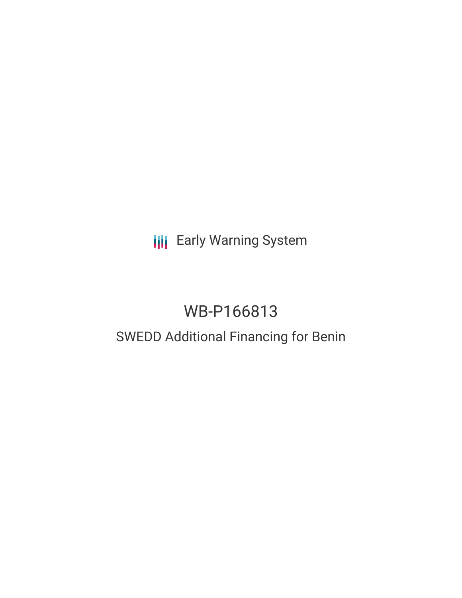**III** Early Warning System

# WB-P166813

# SWEDD Additional Financing for Benin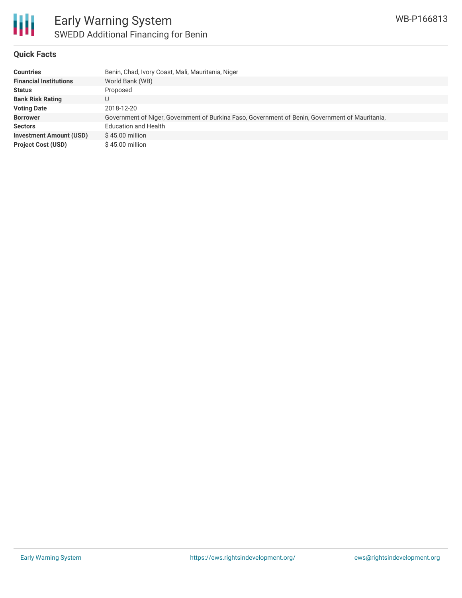

#### **Quick Facts**

| <b>Countries</b>               | Benin, Chad, Ivory Coast, Mali, Mauritania, Niger                                               |
|--------------------------------|-------------------------------------------------------------------------------------------------|
| <b>Financial Institutions</b>  | World Bank (WB)                                                                                 |
| <b>Status</b>                  | Proposed                                                                                        |
| <b>Bank Risk Rating</b>        | U                                                                                               |
| <b>Voting Date</b>             | 2018-12-20                                                                                      |
| <b>Borrower</b>                | Government of Niger, Government of Burkina Faso, Government of Benin, Government of Mauritania, |
| <b>Sectors</b>                 | <b>Education and Health</b>                                                                     |
| <b>Investment Amount (USD)</b> | $$45.00$ million                                                                                |
| <b>Project Cost (USD)</b>      | $$45.00$ million                                                                                |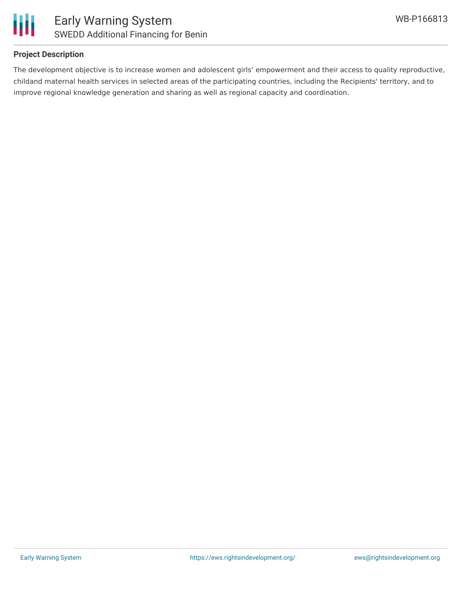

#### **Project Description**

The development objective is to increase women and adolescent girls' empowerment and their access to quality reproductive, childand maternal health services in selected areas of the participating countries, including the Recipients' territory, and to improve regional knowledge generation and sharing as well as regional capacity and coordination.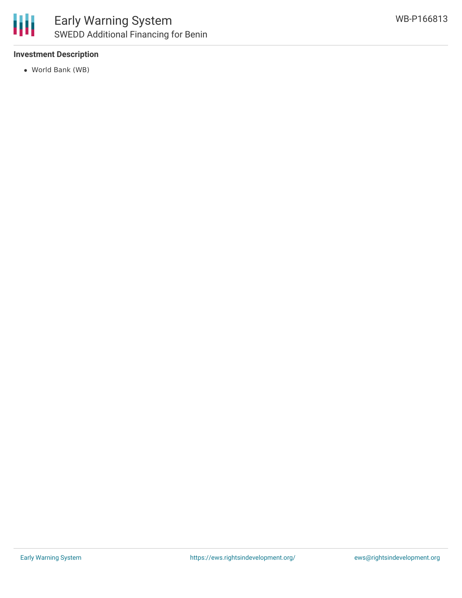

## **Investment Description**

World Bank (WB)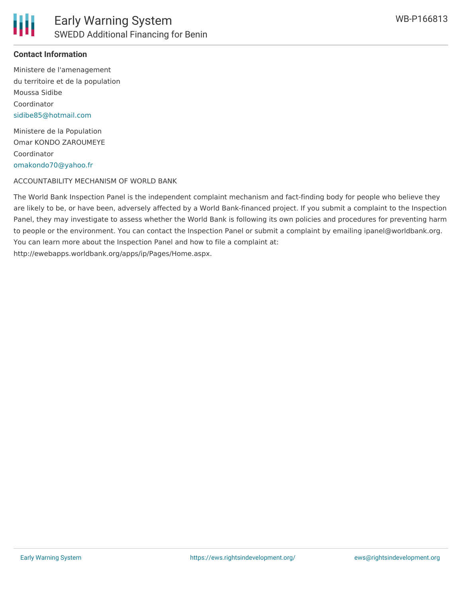

### **Contact Information**

Ministere de l'amenagement du territoire et de la population Moussa Sidibe Coordinator [sidibe85@hotmail.com](mailto:sidibe85@hotmail.com)

Ministere de la Population Omar KONDO ZAROUMEYE Coordinator [omakondo70@yahoo.fr](mailto:omakondo70@yahoo.fr)

#### ACCOUNTABILITY MECHANISM OF WORLD BANK

The World Bank Inspection Panel is the independent complaint mechanism and fact-finding body for people who believe they are likely to be, or have been, adversely affected by a World Bank-financed project. If you submit a complaint to the Inspection Panel, they may investigate to assess whether the World Bank is following its own policies and procedures for preventing harm to people or the environment. You can contact the Inspection Panel or submit a complaint by emailing ipanel@worldbank.org. You can learn more about the Inspection Panel and how to file a complaint at: http://ewebapps.worldbank.org/apps/ip/Pages/Home.aspx.